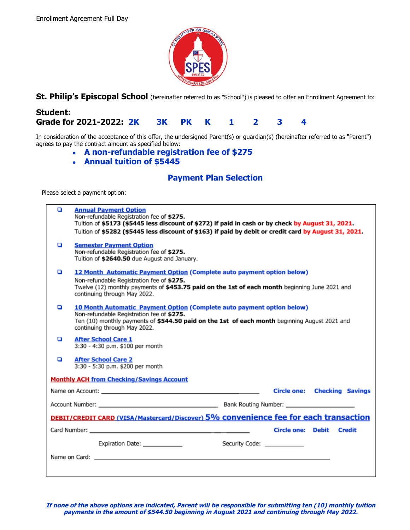

**St. Philip's Episcopal School** (hereinafter referred to as "School") is pleased to offer an Enrollment Agreement to:

# **Student: Grade for 2021-2022: 2K 3K PK K 1 2 3 4**

In consideration of the acceptance of this offer, the undersigned Parent(s) or guardian(s) (hereinafter referred to as "Parent") agrees to pay the contract amount as specified below:

- **● A non-refundable registration fee of \$275**
- **● Annual tuition of \$5445**

## **Payment Plan Selection**

Please select a payment option:

| o                                                                                    | <b>Annual Payment Option</b><br>Non-refundable Registration fee of \$275.<br>Tuition of \$5173 (\$5445 less discount of \$272) if paid in cash or by check by August 31, 2021.<br>Tuition of \$5282 (\$5445 less discount of \$163) if paid by debit or credit card by August 31, 2021. |
|--------------------------------------------------------------------------------------|-----------------------------------------------------------------------------------------------------------------------------------------------------------------------------------------------------------------------------------------------------------------------------------------|
| o                                                                                    | <b>Semester Payment Option</b><br>Non-refundable Registration fee of \$275.<br>Tuition of \$2640.50 due August and January.                                                                                                                                                             |
| o                                                                                    | 12 Month Automatic Payment Option (Complete auto payment option below)<br>Non-refundable Registration fee of \$275.<br>Twelve (12) monthly payments of \$453.75 paid on the 1st of each month beginning June 2021 and<br>continuing through May 2022.                                   |
| o                                                                                    | <b>10 Month Automatic Payment Option (Complete auto payment option below)</b><br>Non-refundable Registration fee of \$275.<br>Ten (10) monthly payments of \$544.50 paid on the 1st of each month beginning August 2021 and<br>continuing through May 2022.                             |
| o                                                                                    | <b>After School Care 1</b><br>3:30 - 4:30 p.m. \$100 per month                                                                                                                                                                                                                          |
| o                                                                                    | <b>After School Care 2</b><br>3:30 - 5:30 p.m. \$200 per month                                                                                                                                                                                                                          |
| <b>Monthly ACH from Checking/Savings Account</b>                                     |                                                                                                                                                                                                                                                                                         |
|                                                                                      | <b>Circle one: Checking Savings</b>                                                                                                                                                                                                                                                     |
|                                                                                      |                                                                                                                                                                                                                                                                                         |
| DEBIT/CREDIT CARD (VISA/Mastercard/Discover) 5% convenience fee for each transaction |                                                                                                                                                                                                                                                                                         |
|                                                                                      | Card Number: National Accounts and Accounts and Accounts and Accounts and Accounts and Accounts and Accounts and Accounts and Accounts and Accounts and Accounts and Accounts and Accounts and Accounts and Accounts and Accou<br>Circle one: Debit Credit                              |
|                                                                                      | Security Code: ____________<br>Expiration Date: _____________                                                                                                                                                                                                                           |
|                                                                                      |                                                                                                                                                                                                                                                                                         |

**If none of the above options are indicated, Parent will be responsible for submitting ten (10) monthly tuition payments in the amount of \$544.50 beginning in August 2021 and continuing through May 2022.**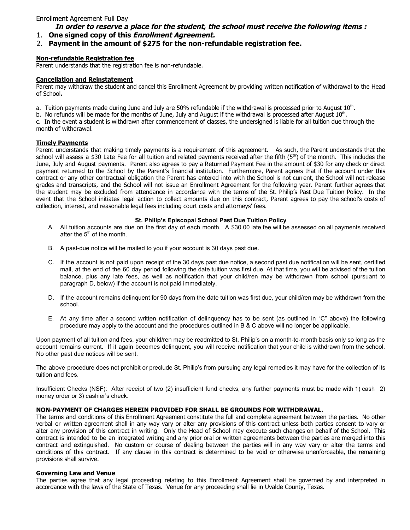## **In order to reserve a place for the student, the school must receive the following items :**

1. **One signed copy of this Enrollment Agreement.**

## 2. **Payment in the amount of \$275 for the non-refundable registration fee.**

#### **Non-refundable Registration fee**

Parent understands that the registration fee is non-refundable.

#### **Cancellation and Reinstatement**

Parent may withdraw the student and cancel this Enrollment Agreement by providing written notification of withdrawal to the Head of School**.**

a. Tuition payments made during June and July are 50% refundable if the withdrawal is processed prior to August  $10^{th}$ .

b. No refunds will be made for the months of June, July and August if the withdrawal is processed after August  $10<sup>th</sup>$ .

c. In the event a student is withdrawn after commencement of classes, the undersigned is liable for all tuition due through the month of withdrawal.

#### **Timely Payments**

Parent understands that making timely payments is a requirement of this agreement. As such, the Parent understands that the school will assess a \$30 Late Fee for all tuition and related payments received after the fifth  $(5<sup>th</sup>)$  of the month. This includes the June, July and August payments. Parent also agrees to pay a Returned Payment Fee in the amount of \$30 for any check or direct payment returned to the School by the Parent's financial institution. Furthermore, Parent agrees that if the account under this contract or any other contractual obligation the Parent has entered into with the School is not current, the School will not release grades and transcripts, and the School will not issue an Enrollment Agreement for the following year. Parent further agrees that the student may be excluded from attendance in accordance with the terms of the St. Philip's Past Due Tuition Policy. In the event that the School initiates legal action to collect amounts due on this contract, Parent agrees to pay the school's costs of collection, interest, and reasonable legal fees including court costs and attorneys' fees.

#### **St. Philip's Episcopal School Past Due Tuition Policy**

- A. All tuition accounts are due on the first day of each month. A \$30.00 late fee will be assessed on all payments received after the  $5<sup>th</sup>$  of the month.
- B. A past-due notice will be mailed to you if your account is 30 days past due.
- C. If the account is not paid upon receipt of the 30 days past due notice, a second past due notification will be sent, certified mail, at the end of the 60 day period following the date tuition was first due. At that time, you will be advised of the tuition balance, plus any late fees, as well as notification that your child/ren may be withdrawn from school (pursuant to paragraph D, below) if the account is not paid immediately.
- D. If the account remains delinquent for 90 days from the date tuition was first due, your child/ren may be withdrawn from the school.
- E. At any time after a second written notification of delinquency has to be sent (as outlined in "C" above) the following procedure may apply to the account and the procedures outlined in B & C above will no longer be applicable.

Upon payment of all tuition and fees, your child/ren may be readmitted to St. Philip's on a month-to-month basis only so long as the account remains current. If it again becomes delinquent, you will receive notification that your child is withdrawn from the school. No other past due notices will be sent.

The above procedure does not prohibit or preclude St. Philip's from pursuing any legal remedies it may have for the collection of its tuition and fees.

Insufficient Checks (NSF): After receipt of two (2) insufficient fund checks, any further payments must be made with 1) cash 2) money order or 3) cashier's check.

#### **NON-PAYMENT OF CHARGES HEREIN PROVIDED FOR SHALL BE GROUNDS FOR WITHDRAWAL.**

The terms and conditions of this Enrollment Agreement constitute the full and complete agreement between the parties. No other verbal or written agreement shall in any way vary or alter any provisions of this contract unless both parties consent to vary or alter any provision of this contract in writing. Only the Head of School may execute such changes on behalf of the School. This contract is intended to be an integrated writing and any prior oral or written agreements between the parties are merged into this contract and extinguished. No custom or course of dealing between the parties will in any way vary or alter the terms and conditions of this contract. If any clause in this contract is determined to be void or otherwise unenforceable, the remaining provisions shall survive.

#### **Governing Law and Venue**

The parties agree that any legal proceeding relating to this Enrollment Agreement shall be governed by and interpreted in accordance with the laws of the State of Texas. Venue for any proceeding shall lie in Uvalde County, Texas.